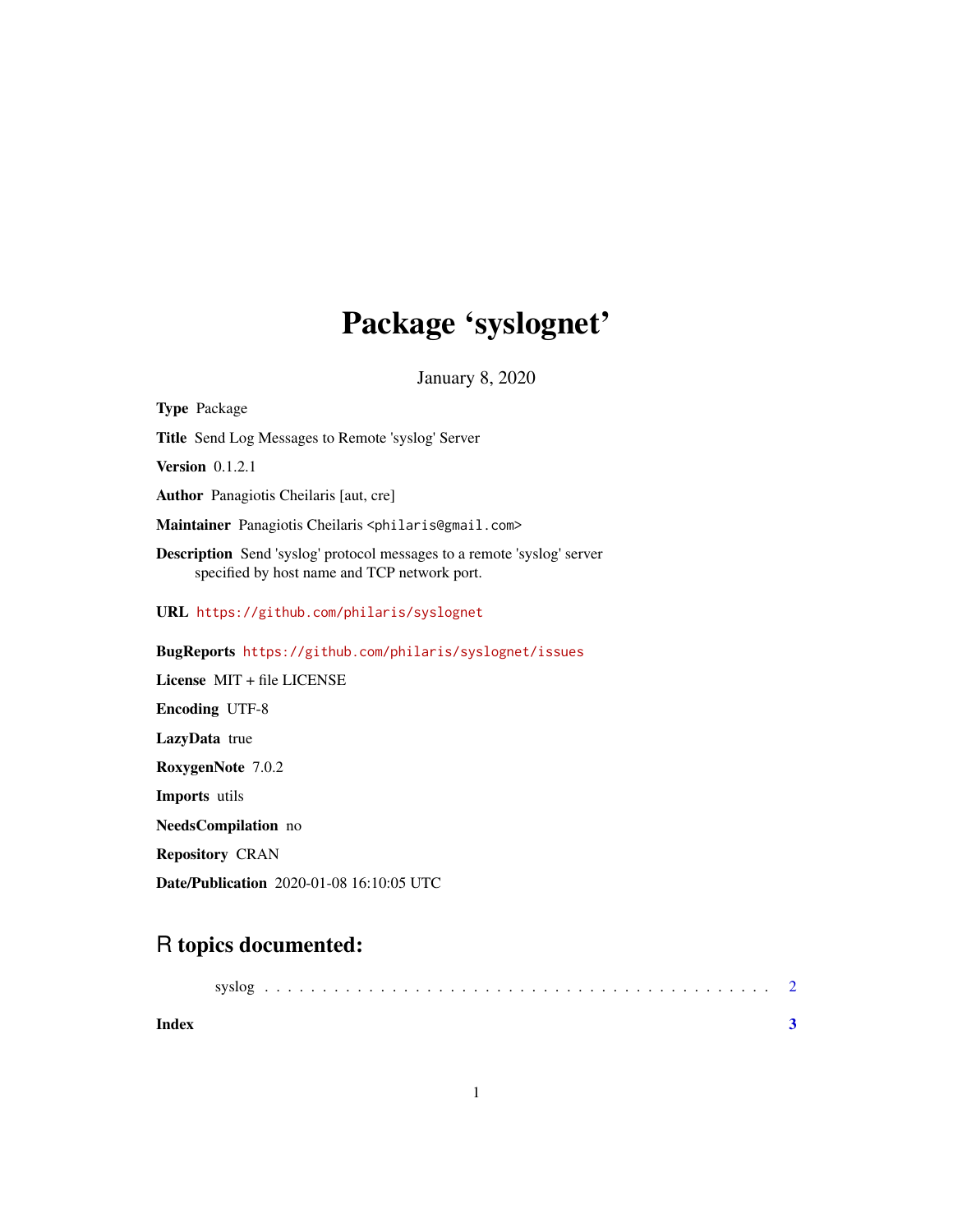## Package 'syslognet'

January 8, 2020

Type Package Title Send Log Messages to Remote 'syslog' Server **Version** 0.1.2.1 Author Panagiotis Cheilaris [aut, cre] Maintainer Panagiotis Cheilaris <philaris@gmail.com> Description Send 'syslog' protocol messages to a remote 'syslog' server specified by host name and TCP network port. URL <https://github.com/philaris/syslognet> BugReports <https://github.com/philaris/syslognet/issues> License MIT + file LICENSE Encoding UTF-8 LazyData true RoxygenNote 7.0.2 Imports utils NeedsCompilation no

Repository CRAN

Date/Publication 2020-01-08 16:10:05 UTC

### R topics documented:

| Index |  |  |  |  |  |  |  |  |  |  |  |  |  |  |  |  |  |
|-------|--|--|--|--|--|--|--|--|--|--|--|--|--|--|--|--|--|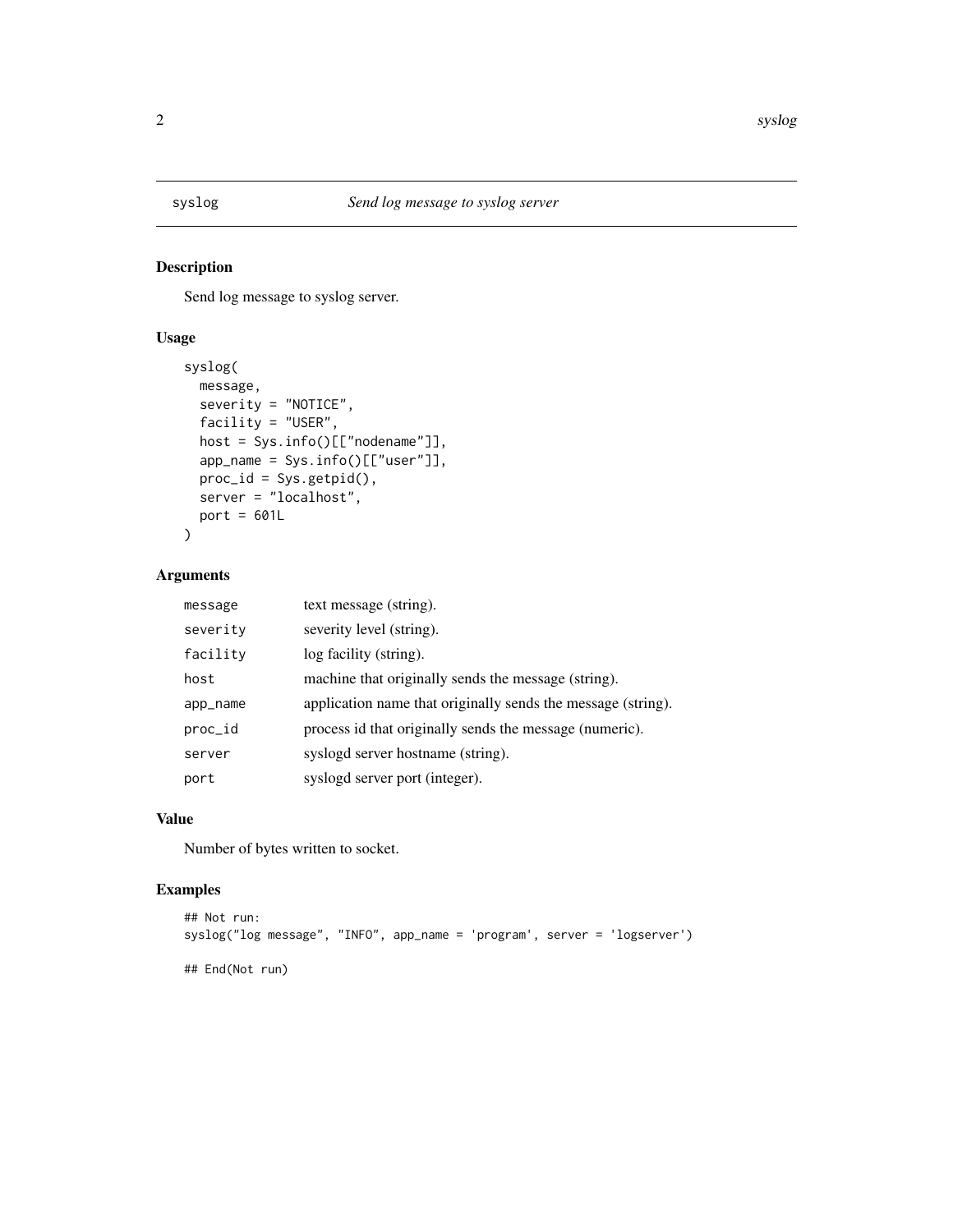<span id="page-1-0"></span>

#### Description

Send log message to syslog server.

#### Usage

```
syslog(
 message,
 severity = "NOTICE",
 facility = "USER",
 host = Sys.info()[["nodename"]],
 app_name = Sys.info()[["user"]],
 proc_id = Sys.getpid(),
 server = "localhost",
 port = 601L)
```
#### Arguments

| message  | text message (string).                                       |
|----------|--------------------------------------------------------------|
| severity | severity level (string).                                     |
| facility | log facility (string).                                       |
| host     | machine that originally sends the message (string).          |
| app_name | application name that originally sends the message (string). |
| proc_id  | process id that originally sends the message (numeric).      |
| server   | syslogd server hostname (string).                            |
| port     | syslogd server port (integer).                               |

#### Value

Number of bytes written to socket.

#### Examples

```
## Not run:
syslog("log message", "INFO", app_name = 'program', server = 'logserver')
## End(Not run)
```